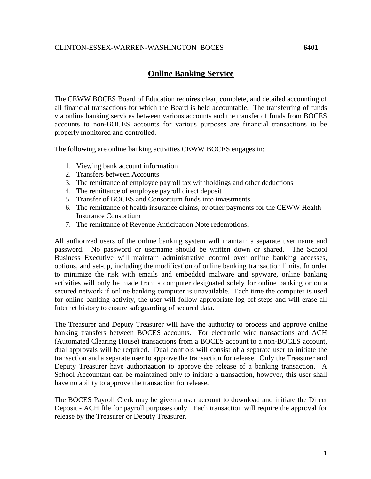## **Online Banking Service**

The CEWW BOCES Board of Education requires clear, complete, and detailed accounting of all financial transactions for which the Board is held accountable. The transferring of funds via online banking services between various accounts and the transfer of funds from BOCES accounts to non-BOCES accounts for various purposes are financial transactions to be properly monitored and controlled.

The following are online banking activities CEWW BOCES engages in:

- 1. Viewing bank account information
- 2. Transfers between Accounts
- 3. The remittance of employee payroll tax withholdings and other deductions
- 4. The remittance of employee payroll direct deposit
- 5. Transfer of BOCES and Consortium funds into investments.
- 6. The remittance of health insurance claims, or other payments for the CEWW Health Insurance Consortium
- 7. The remittance of Revenue Anticipation Note redemptions.

All authorized users of the online banking system will maintain a separate user name and password. No password or username should be written down or shared. The School Business Executive will maintain administrative control over online banking accesses, options, and set-up, including the modification of online banking transaction limits. In order to minimize the risk with emails and embedded malware and spyware, online banking activities will only be made from a computer designated solely for online banking or on a secured network if online banking computer is unavailable. Each time the computer is used for online banking activity, the user will follow appropriate log-off steps and will erase all Internet history to ensure safeguarding of secured data.

The Treasurer and Deputy Treasurer will have the authority to process and approve online banking transfers between BOCES accounts. For electronic wire transactions and ACH (Automated Clearing House) transactions from a BOCES account to a non-BOCES account, dual approvals will be required. Dual controls will consist of a separate user to initiate the transaction and a separate user to approve the transaction for release. Only the Treasurer and Deputy Treasurer have authorization to approve the release of a banking transaction. A School Accountant can be maintained only to initiate a transaction, however, this user shall have no ability to approve the transaction for release.

The BOCES Payroll Clerk may be given a user account to download and initiate the Direct Deposit - ACH file for payroll purposes only. Each transaction will require the approval for release by the Treasurer or Deputy Treasurer.